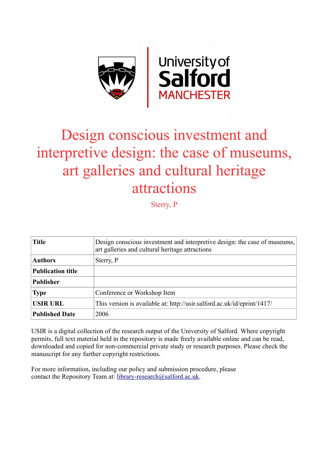

# Design conscious investment and interpretive design: the case of museums, art galleries and cultural heritage attractions

Sterry, P

| <b>Title</b>             | Design conscious investment and interpretive design: the case of museums,<br>art galleries and cultural heritage attractions |
|--------------------------|------------------------------------------------------------------------------------------------------------------------------|
| <b>Authors</b>           | Sterry, P                                                                                                                    |
| <b>Publication title</b> |                                                                                                                              |
| <b>Publisher</b>         |                                                                                                                              |
| <b>Type</b>              | Conference or Workshop Item                                                                                                  |
| <b>USIR URL</b>          | This version is available at: http://usir.salford.ac.uk/id/eprint/1417/                                                      |
| <b>Published Date</b>    | 2006                                                                                                                         |

USIR is a digital collection of the research output of the University of Salford. Where copyright permits, full text material held in the repository is made freely available online and can be read, downloaded and copied for non-commercial private study or research purposes. Please check the manuscript for any further copyright restrictions.

For more information, including our policy and submission procedure, please contact the Repository Team at: [library-research@salford.ac.uk.](mailto:library-research@salford.ac.uk)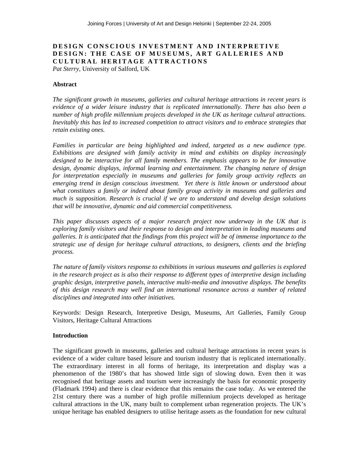## **DESIGN CONSCIOUS INVESTMENT AND INTERPRETIVE DESIGN: THE CASE OF MUSEUMS, ART GALLERIES AND CULTURAL HERITAGE ATTRACTIONS**

*Pat Sterry,* University of Salford, UK

#### **Abstract**

*The significant growth in museums, galleries and cultural heritage attractions in recent years is evidence of a wider leisure industry that is replicated internationally. There has also been a number of high profile millennium projects developed in the UK as heritage cultural attractions. Inevitably this has led to increased competition to attract visitors and to embrace strategies that retain existing ones.* 

*Families in particular are being highlighted and indeed, targeted as a new audience type. Exhibitions are designed with family activity in mind and exhibits on display increasingly*  designed to be interactive for all family members. The emphasis appears to be for innovative *design, dynamic displays, informal learning and entertainment. The changing nature of design for interpretation especially in museums and galleries for family group activity reflects an emerging trend in design conscious investment. Yet there is little known or understood about what constitutes a family or indeed about family group activity in museums and galleries and much is supposition. Research is crucial if we are to understand and develop design solutions that will be innovative, dynamic and aid commercial competitiveness.* 

*This paper discusses aspects of a major research project now underway in the UK that is exploring family visitors and their response to design and interpretation in leading museums and galleries. It is anticipated that the findings from this project will be of immense importance to the strategic use of design for heritage cultural attractions, to designers, clients and the briefing process.* 

*The nature of family visitors response to exhibitions in various museums and galleries is explored in the research project as is also their response to different types of interpretive design including graphic design, interpretive panels, interactive multi-media and innovative displays. The benefits of this design research may well find an international resonance across a number of related disciplines and integrated into other initiatives.*

Keywords: Design Research, Interpretive Design, Museums, Art Galleries, Family Group Visitors, Heritage Cultural Attractions

#### **Introduction**

The significant growth in museums, galleries and cultural heritage attractions in recent years is evidence of a wider culture based leisure and tourism industry that is replicated internationally. The extraordinary interest in all forms of heritage, its interpretation and display was a phenomenon of the 1980's that has showed little sign of slowing down. Even then it was recognised that heritage assets and tourism were increasingly the basis for economic prosperity (Fladmark 1994) and there is clear evidence that this remains the case today. As we entered the 21st century there was a number of high profile millennium projects developed as heritage cultural attractions in the UK, many built to complement urban regeneration projects. The UK's unique heritage has enabled designers to utilise heritage assets as the foundation for new cultural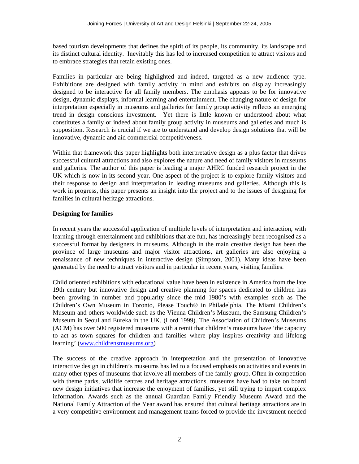based tourism developments that defines the spirit of its people, its community, its landscape and its distinct cultural identity. Inevitably this has led to increased competition to attract visitors and to embrace strategies that retain existing ones.

Families in particular are being highlighted and indeed, targeted as a new audience type. Exhibitions are designed with family activity in mind and exhibits on display increasingly designed to be interactive for all family members. The emphasis appears to be for innovative design, dynamic displays, informal learning and entertainment. The changing nature of design for interpretation especially in museums and galleries for family group activity reflects an emerging trend in design conscious investment. Yet there is little known or understood about what constitutes a family or indeed about family group activity in museums and galleries and much is supposition. Research is crucial if we are to understand and develop design solutions that will be innovative, dynamic and aid commercial competitiveness.

Within that framework this paper highlights both interpretative design as a plus factor that drives successful cultural attractions and also explores the nature and need of family visitors in museums and galleries. The author of this paper is leading a major AHRC funded research project in the UK which is now in its second year. One aspect of the project is to explore family visitors and their response to design and interpretation in leading museums and galleries. Although this is work in progress, this paper presents an insight into the project and to the issues of designing for families in cultural heritage attractions.

## **Designing for families**

In recent years the successful application of multiple levels of interpretation and interaction, with learning through entertainment and exhibitions that are fun, has increasingly been recognised as a successful format by designers in museums. Although in the main creative design has been the province of large museums and major visitor attractions, art galleries are also enjoying a renaissance of new techniques in interactive design (Simpson, 2001). Many ideas have been generated by the need to attract visitors and in particular in recent years, visiting families.

Child oriented exhibitions with educational value have been in existence in America from the late 19th century but innovative design and creative planning for spaces dedicated to children has been growing in number and popularity since the mid 1980's with examples such as The Children's Own Museum in Toronto, Please Touch® in Philadelphia, The Miami Children's Museum and others worldwide such as the Vienna Children's Museum, the Samsung Children's Museum in Seoul and Eureka in the UK. (Lord 1999). The Association of Children's Museums (ACM) has over 500 registered museums with a remit that children's museums have 'the capacity to act as town squares for children and families where play inspires creativity and lifelong learning' [\(www.childrensmuseums.org](http://www.childrensmuseums.org/))

The success of the creative approach in interpretation and the presentation of innovative interactive design in children's museums has led to a focused emphasis on activities and events in many other types of museums that involve all members of the family group. Often in competition with theme parks, wildlife centres and heritage attractions, museums have had to take on board new design initiatives that increase the enjoyment of families, yet still trying to impart complex information. Awards such as the annual Guardian Family Friendly Museum Award and the National Family Attraction of the Year award has ensured that cultural heritage attractions are in a very competitive environment and management teams forced to provide the investment needed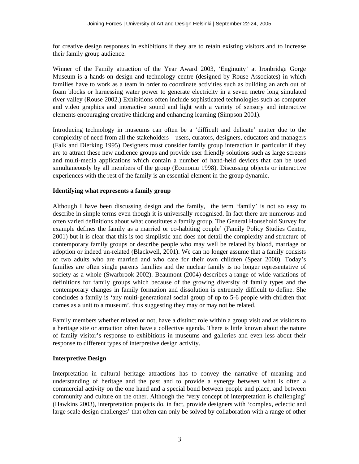for creative design responses in exhibitions if they are to retain existing visitors and to increase their family group audience.

Winner of the Family attraction of the Year Award 2003, 'Enginuity' at Ironbridge Gorge Museum is a hands-on design and technology centre (designed by Rouse Associates) in which families have to work as a team in order to coordinate activities such as building an arch out of foam blocks or harnessing water power to generate electricity in a seven metre long simulated river valley (Rouse 2002.) Exhibitions often include sophisticated technologies such as computer and video graphics and interactive sound and light with a variety of sensory and interactive elements encouraging creative thinking and enhancing learning (Simpson 2001).

Introducing technology in museums can often be a 'difficult and delicate' matter due to the complexity of need from all the stakeholders – users, curators, designers, educators and managers (Falk and Dierking 1995) Designers must consider family group interaction in particular if they are to attract these new audience groups and provide user friendly solutions such as large screens and multi-media applications which contain a number of hand-held devices that can be used simultaneously by all members of the group (Economu 1998). Discussing objects or interactive experiences with the rest of the family is an essential element in the group dynamic.

## **Identifying what represents a family group**

Although I have been discussing design and the family, the term 'family' is not so easy to describe in simple terms even though it is universally recognised. In fact there are numerous and often varied definitions about what constitutes a family group. The General Household Survey for example defines the family as a married or co-habiting couple' (Family Policy Studies Centre, 2001) but it is clear that this is too simplistic and does not detail the complexity and structure of contemporary family groups or describe people who may well be related by blood, marriage or adoption or indeed un-related (Blackwell, 2001). We can no longer assume that a family consists of two adults who are married and who care for their own children (Spear 2000). Today's families are often single parents families and the nuclear family is no longer representative of society as a whole (Swarbrook 2002). Beaumont (2004) describes a range of wide variations of definitions for family groups which because of the growing diversity of family types and the contemporary changes in family formation and dissolution is extremely difficult to define. She concludes a family is 'any multi-generational social group of up to 5-6 people with children that comes as a unit to a museum', thus suggesting they may or may not be related.

Family members whether related or not, have a distinct role within a group visit and as visitors to a heritage site or attraction often have a collective agenda. There is little known about the nature of family visitor's response to exhibitions in museums and galleries and even less about their response to different types of interpretive design activity.

## **Interpretive Design**

Interpretation in cultural heritage attractions has to convey the narrative of meaning and understanding of heritage and the past and to provide a synergy between what is often a commercial activity on the one hand and a special bond between people and place, and between community and culture on the other. Although the 'very concept of interpretation is challenging' (Hawkins 2003), interpretation projects do, in fact, provide designers with 'complex, eclectic and large scale design challenges' that often can only be solved by collaboration with a range of other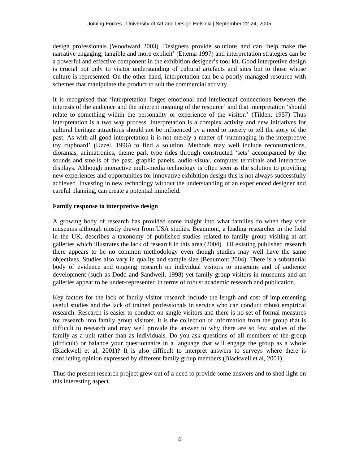design professionals (Woodward 2003). Designers provide solutions and can 'help make the narrative engaging, tangible and more explicit' (Ettema 1997) and interpretation strategies can be a powerful and effective component in the exhibition designer's tool kit. Good interpretive design is crucial not only to visitor understanding of cultural artefacts and sites but to those whose culture is represented. On the other hand, interpretation can be a poorly managed resource with schemes that manipulate the product to suit the commercial activity.

It is recognised that 'interpretation forges emotional and intellectual connections between the interests of the audience and the inherent meaning of the resource' and that interpretation 'should relate to something within the personality or experience of the visitor.' (Tilden, 1957) Thus interpretation is a two way process. Interpretation is a complex activity and new initiatives for cultural heritage attractions should not be influenced by a need to merely to tell the story of the past. As with all good interpretation it is not merely a matter of 'rummaging in the interpretive toy cupboard' (Uzzel, 1996) to find a solution. Methods may well include reconstructions, dioramas, animatronics, theme park type rides through constructed 'sets' accompanied by the sounds and smells of the past, graphic panels, audio-visual, computer terminals and interactive displays. Although interactive multi-media technology is often seen as the solution to providing new experiences and opportunities for innovative exhibition design this is not always successfully achieved. Investing in new technology without the understanding of an experienced designer and careful planning, can create a potential minefield.

## **Family response to interpretive design**

A growing body of research has provided some insight into what families do when they visit museums although mostly drawn from USA studies. Beaumont, a leading researcher in the field in the UK, describes a taxonomy of published studies related to family group visiting at art galleries which illustrates the lack of research in this area (2004). Of existing published research there appears to be no common methodology even though studies may well have the same objectives. Studies also vary in quality and sample size (Beaumont 2004). There is a substantial body of evidence and ongoing research on individual visitors to museums and of audience development (such as Dodd and Sandwell, 1998) yet family group visitors in museums and art galleries appear to be under-represented in terms of robust academic research and publication.

Key factors for the lack of family visitor research include the length and cost of implementing useful studies and the lack of trained professionals in service who can conduct robust empirical research. Research is easier to conduct on single visitors and there is no set of formal measures for research into family group visitors. It is the collection of information from the group that is difficult to research and may well provide the answer to why there are so few studies of the family as a unit rather than as individuals. Do you ask questions of all members of the group (difficult) or balance your questionnaire in a language that will engage the group as a whole (Blackwell et al, 2001)? It is also difficult to interpret answers to surveys where there is conflicting opinion expressed by different family group members (Blackwell et al, 2001).

Thus the present research project grew out of a need to provide some answers and to shed light on this interesting aspect.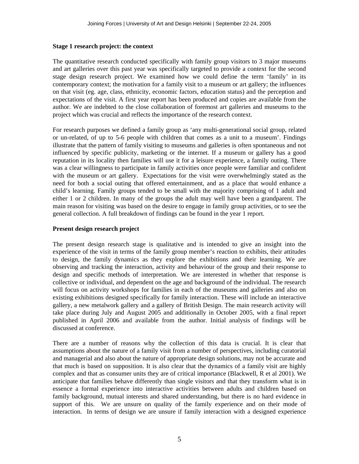#### **Stage 1 research project: the context**

The quantitative research conducted specifically with family group visitors to 3 major museums and art galleries over this past year was specifically targeted to provide a context for the second stage design research project. We examined how we could define the term 'family' in its contemporary context; the motivation for a family visit to a museum or art gallery; the influences on that visit (eg. age, class, ethnicity, economic factors, education status) and the perception and expectations of the visit. A first year report has been produced and copies are available from the author. We are indebted to the close collaboration of foremost art galleries and museums to the project which was crucial and reflects the importance of the research context.

For research purposes we defined a family group as 'any multi-generational social group, related or un-related, of up to 5-6 people with children that comes as a unit to a museum'. Findings illustrate that the pattern of family visiting to museums and galleries is often spontaneous and not influenced by specific publicity, marketing or the internet. If a museum or gallery has a good reputation in its locality then families will use it for a leisure experience, a family outing. There was a clear willingness to participate in family activities once people were familiar and confident with the museum or art gallery. Expectations for the visit were overwhelmingly stated as the need for both a social outing that offered entertainment, and as a place that would enhance a child's learning. Family groups tended to be small with the majority comprising of 1 adult and either 1 or 2 children. In many of the groups the adult may well have been a grandparent. The main reason for visiting was based on the desire to engage in family group activities, or to see the general collection. A full breakdown of findings can be found in the year 1 report.

#### **Present design research project**

The present design research stage is qualitative and is intended to give an insight into the experience of the visit in terms of the family group member's reaction to exhibits, their attitudes to design, the family dynamics as they explore the exhibitions and their learning. We are observing and tracking the interaction, activity and behaviour of the group and their response to design and specific methods of interpretation. We are interested in whether that response is collective or individual, and dependent on the age and background of the individual. The research will focus on activity workshops for families in each of the museums and galleries and also on existing exhibitions designed specifically for family interaction. These will include an interactive gallery, a new metalwork gallery and a gallery of British Design. The main research activity will take place during July and August 2005 and additionally in October 2005, with a final report published in April 2006 and available from the author. Initial analysis of findings will be discussed at conference.

There are a number of reasons why the collection of this data is crucial. It is clear that assumptions about the nature of a family visit from a number of perspectives, including curatorial and managerial and also about the nature of appropriate design solutions, may not be accurate and that much is based on supposition. It is also clear that the dynamics of a family visit are highly complex and that as consumer units they are of critical importance (Blackwell, R et al 2001). We anticipate that families behave differently than single visitors and that they transform what is in essence a formal experience into interactive activities between adults and children based on family background, mutual interests and shared understanding, but there is no hard evidence in support of this. We are unsure on quality of the family experience and on their mode of interaction. In terms of design we are unsure if family interaction with a designed experience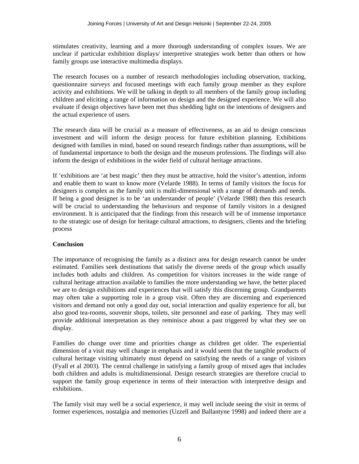stimulates creativity, learning and a more thorough understanding of complex issues. We are unclear if particular exhibition displays/ interpretive strategies work better than others or how family groups use interactive multimedia displays.

The research focuses on a number of research methodologies including observation, tracking, questionnaire surveys and focused meetings with each family group member as they explore activity and exhibitions. We will be talking in depth to all members of the family group including children and eliciting a range of information on design and the designed experience. We will also evaluate if design objectives have been met thus shedding light on the intentions of designers and the actual experience of users.

The research data will be crucial as a measure of effectiveness, as an aid to design conscious investment and will inform the design process for future exhibition planning. Exhibitions designed with families in mind, based on sound research findings rather than assumptions, will be of fundamental importance to both the design and the museum professions. The findings will also inform the design of exhibitions in the wider field of cultural heritage attractions.

If 'exhibitions are 'at best magic' then they must be attractive, hold the visitor's attention, inform and enable them to want to know more (Velarde 1988). In terms of family visitors the focus for designers is complex as the family unit is multi-dimensional with a range of demands and needs. If being a good designer is to be 'an understander of people' (Velarde 1988) then this research will be crucial to understanding the behaviours and response of family visitors in a designed environment. It is anticipated that the findings from this research will be of immense importance to the strategic use of design for heritage cultural attractions, to designers, clients and the briefing process

#### **Conclusion**

The importance of recognising the family as a distinct area for design research cannot be under estimated. Families seek destinations that satisfy the diverse needs of the group which usually includes both adults and children. As competition for visitors increases in the wide range of cultural heritage attraction available to families the more understanding we have, the better placed we are to design exhibitions and experiences that will satisfy this discerning group. Grandparents may often take a supporting role in a group visit. Often they are discerning and experienced visitors and demand not only a good day out, social interaction and quality experience for all, but also good tea-rooms, souvenir shops, toilets, site personnel and ease of parking. They may well provide additional interpretation as they reminisce about a past triggered by what they see on display.

Families do change over time and priorities change as children get older. The experiential dimension of a visit may well change in emphasis and it would seem that the tangible products of cultural heritage visiting ultimately must depend on satisfying the needs of a range of visitors (Fyall et al 2003). The central challenge in satisfying a family group of mixed ages that includes both children and adults is multidimensional. Design research strategies are therefore crucial to support the family group experience in terms of their interaction with interpretive design and exhibitions.

The family visit may well be a social experience, it may well include seeing the visit in terms of former experiences, nostalgia and memories (Uzzell and Ballantyne 1998) and indeed there are a